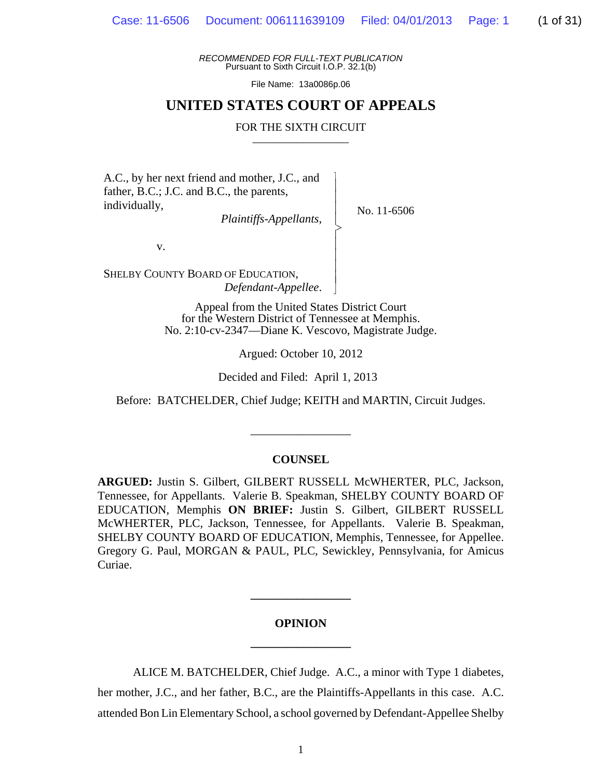*RECOMMENDED FOR FULL-TEXT PUBLICATION* Pursuant to Sixth Circuit I.O.P. 32.1(b)

File Name: 13a0086p.06

## **UNITED STATES COURT OF APPEALS**

#### FOR THE SIXTH CIRCUIT

 $\overline{\phantom{a}}$ - - - > , - - - - N

A.C., by her next friend and mother, J.C., and father, B.C.; J.C. and B.C., the parents, individually,

*Plaintiffs-Appellants*,

No. 11-6506

v.

SHELBY COUNTY BOARD OF EDUCATION, *Defendant-Appellee*.

> Appeal from the United States District Court for the Western District of Tennessee at Memphis. No. 2:10-cv-2347—Diane K. Vescovo, Magistrate Judge.

> > Argued: October 10, 2012

Decided and Filed: April 1, 2013

Before: BATCHELDER, Chief Judge; KEITH and MARTIN, Circuit Judges.

\_\_\_\_\_\_\_\_\_\_\_\_\_\_\_\_\_

#### **COUNSEL**

**ARGUED:** Justin S. Gilbert, GILBERT RUSSELL McWHERTER, PLC, Jackson, Tennessee, for Appellants. Valerie B. Speakman, SHELBY COUNTY BOARD OF EDUCATION, Memphis **ON BRIEF:** Justin S. Gilbert, GILBERT RUSSELL McWHERTER, PLC, Jackson, Tennessee, for Appellants. Valerie B. Speakman, SHELBY COUNTY BOARD OF EDUCATION, Memphis, Tennessee, for Appellee. Gregory G. Paul, MORGAN & PAUL, PLC, Sewickley, Pennsylvania, for Amicus Curiae.

# **OPINION \_\_\_\_\_\_\_\_\_\_\_\_\_\_\_\_\_**

**\_\_\_\_\_\_\_\_\_\_\_\_\_\_\_\_\_**

ALICE M. BATCHELDER, Chief Judge. A.C., a minor with Type 1 diabetes, her mother, J.C., and her father, B.C., are the Plaintiffs-Appellants in this case. A.C. attended Bon Lin Elementary School, a school governed by Defendant-Appellee Shelby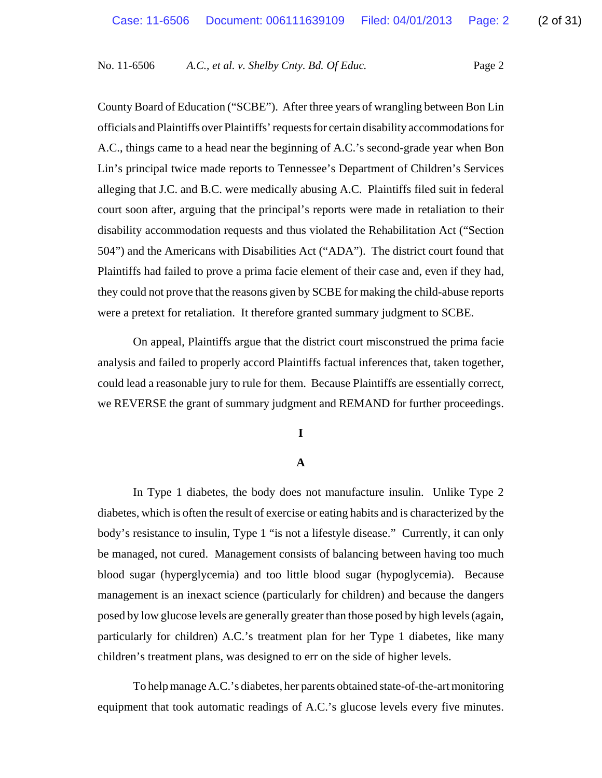County Board of Education ("SCBE"). After three years of wrangling between Bon Lin officials and Plaintiffs over Plaintiffs' requests for certain disability accommodations for A.C., things came to a head near the beginning of A.C.'s second-grade year when Bon Lin's principal twice made reports to Tennessee's Department of Children's Services alleging that J.C. and B.C. were medically abusing A.C. Plaintiffs filed suit in federal court soon after, arguing that the principal's reports were made in retaliation to their disability accommodation requests and thus violated the Rehabilitation Act ("Section 504") and the Americans with Disabilities Act ("ADA"). The district court found that Plaintiffs had failed to prove a prima facie element of their case and, even if they had, they could not prove that the reasons given by SCBE for making the child-abuse reports were a pretext for retaliation. It therefore granted summary judgment to SCBE.

On appeal, Plaintiffs argue that the district court misconstrued the prima facie analysis and failed to properly accord Plaintiffs factual inferences that, taken together, could lead a reasonable jury to rule for them. Because Plaintiffs are essentially correct, we REVERSE the grant of summary judgment and REMAND for further proceedings.

**I**

## **A**

In Type 1 diabetes, the body does not manufacture insulin. Unlike Type 2 diabetes, which is often the result of exercise or eating habits and is characterized by the body's resistance to insulin, Type 1 "is not a lifestyle disease." Currently, it can only be managed, not cured. Management consists of balancing between having too much blood sugar (hyperglycemia) and too little blood sugar (hypoglycemia). Because management is an inexact science (particularly for children) and because the dangers posed by low glucose levels are generally greater than those posed by high levels (again, particularly for children) A.C.'s treatment plan for her Type 1 diabetes, like many children's treatment plans, was designed to err on the side of higher levels.

To help manage A.C.'s diabetes, her parents obtained state-of-the-art monitoring equipment that took automatic readings of A.C.'s glucose levels every five minutes.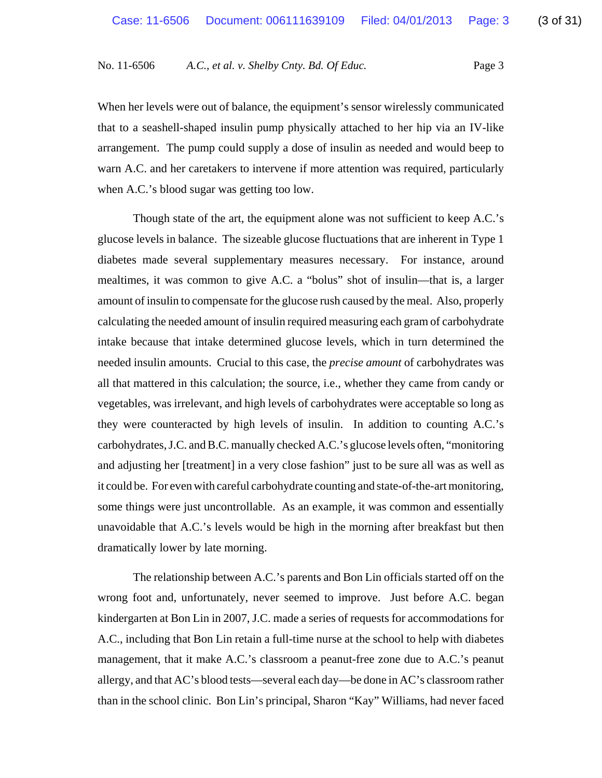When her levels were out of balance, the equipment's sensor wirelessly communicated that to a seashell-shaped insulin pump physically attached to her hip via an IV-like arrangement. The pump could supply a dose of insulin as needed and would beep to warn A.C. and her caretakers to intervene if more attention was required, particularly when A.C.'s blood sugar was getting too low.

Though state of the art, the equipment alone was not sufficient to keep A.C.'s glucose levels in balance. The sizeable glucose fluctuations that are inherent in Type 1 diabetes made several supplementary measures necessary. For instance, around mealtimes, it was common to give A.C. a "bolus" shot of insulin—that is, a larger amount of insulin to compensate for the glucose rush caused by the meal. Also, properly calculating the needed amount of insulin required measuring each gram of carbohydrate intake because that intake determined glucose levels, which in turn determined the needed insulin amounts. Crucial to this case, the *precise amount* of carbohydrates was all that mattered in this calculation; the source, i.e., whether they came from candy or vegetables, was irrelevant, and high levels of carbohydrates were acceptable so long as they were counteracted by high levels of insulin. In addition to counting A.C.'s carbohydrates, J.C. and B.C. manually checked A.C.'s glucose levels often, "monitoring and adjusting her [treatment] in a very close fashion" just to be sure all was as well as it could be. For even with careful carbohydrate counting and state-of-the-art monitoring, some things were just uncontrollable. As an example, it was common and essentially unavoidable that A.C.'s levels would be high in the morning after breakfast but then dramatically lower by late morning.

The relationship between A.C.'s parents and Bon Lin officials started off on the wrong foot and, unfortunately, never seemed to improve. Just before A.C. began kindergarten at Bon Lin in 2007, J.C. made a series of requests for accommodations for A.C., including that Bon Lin retain a full-time nurse at the school to help with diabetes management, that it make A.C.'s classroom a peanut-free zone due to A.C.'s peanut allergy, and that AC's blood tests—several each day—be done in AC's classroom rather than in the school clinic. Bon Lin's principal, Sharon "Kay" Williams, had never faced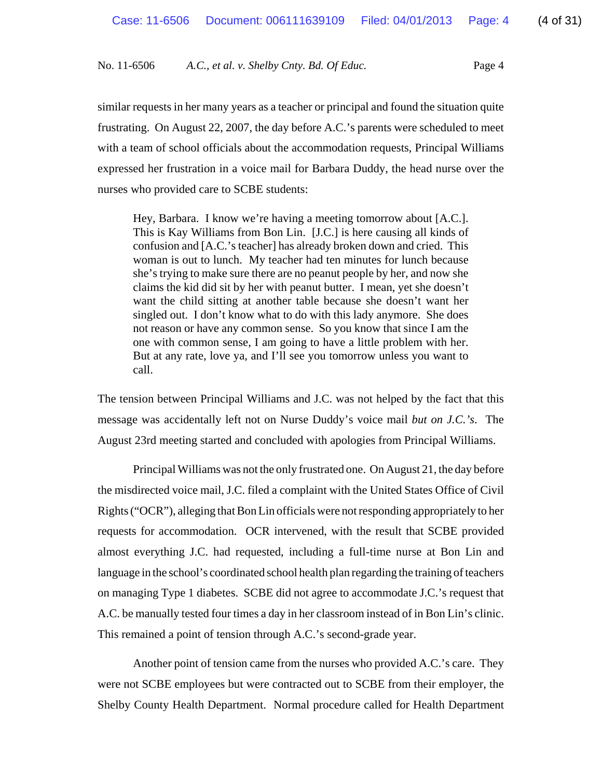similar requests in her many years as a teacher or principal and found the situation quite frustrating. On August 22, 2007, the day before A.C.'s parents were scheduled to meet with a team of school officials about the accommodation requests, Principal Williams expressed her frustration in a voice mail for Barbara Duddy, the head nurse over the nurses who provided care to SCBE students:

Hey, Barbara. I know we're having a meeting tomorrow about [A.C.]. This is Kay Williams from Bon Lin. [J.C.] is here causing all kinds of confusion and [A.C.'s teacher] has already broken down and cried. This woman is out to lunch. My teacher had ten minutes for lunch because she's trying to make sure there are no peanut people by her, and now she claims the kid did sit by her with peanut butter. I mean, yet she doesn't want the child sitting at another table because she doesn't want her singled out. I don't know what to do with this lady anymore. She does not reason or have any common sense. So you know that since I am the one with common sense, I am going to have a little problem with her. But at any rate, love ya, and I'll see you tomorrow unless you want to call.

The tension between Principal Williams and J.C. was not helped by the fact that this message was accidentally left not on Nurse Duddy's voice mail *but on J.C.'s*. The August 23rd meeting started and concluded with apologies from Principal Williams.

Principal Williams was not the only frustrated one. On August 21, the day before the misdirected voice mail, J.C. filed a complaint with the United States Office of Civil Rights ("OCR"), alleging that Bon Lin officials were not responding appropriately to her requests for accommodation. OCR intervened, with the result that SCBE provided almost everything J.C. had requested, including a full-time nurse at Bon Lin and language in the school's coordinated school health plan regarding the training of teachers on managing Type 1 diabetes. SCBE did not agree to accommodate J.C.'s request that A.C. be manually tested four times a day in her classroom instead of in Bon Lin's clinic. This remained a point of tension through A.C.'s second-grade year.

Another point of tension came from the nurses who provided A.C.'s care. They were not SCBE employees but were contracted out to SCBE from their employer, the Shelby County Health Department. Normal procedure called for Health Department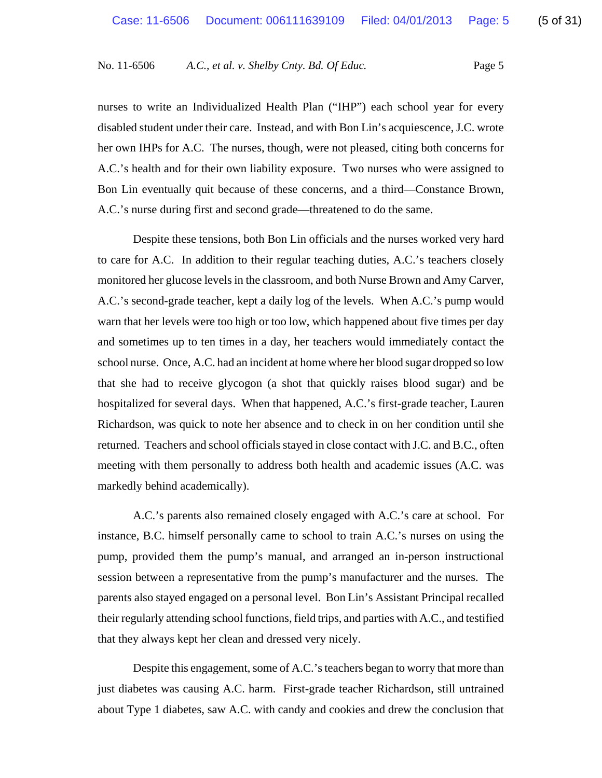nurses to write an Individualized Health Plan ("IHP") each school year for every disabled student under their care. Instead, and with Bon Lin's acquiescence, J.C. wrote her own IHPs for A.C. The nurses, though, were not pleased, citing both concerns for A.C.'s health and for their own liability exposure. Two nurses who were assigned to Bon Lin eventually quit because of these concerns, and a third—Constance Brown, A.C.'s nurse during first and second grade—threatened to do the same.

Despite these tensions, both Bon Lin officials and the nurses worked very hard to care for A.C. In addition to their regular teaching duties, A.C.'s teachers closely monitored her glucose levels in the classroom, and both Nurse Brown and Amy Carver, A.C.'s second-grade teacher, kept a daily log of the levels. When A.C.'s pump would warn that her levels were too high or too low, which happened about five times per day and sometimes up to ten times in a day, her teachers would immediately contact the school nurse. Once, A.C. had an incident at home where her blood sugar dropped so low that she had to receive glycogon (a shot that quickly raises blood sugar) and be hospitalized for several days. When that happened, A.C.'s first-grade teacher, Lauren Richardson, was quick to note her absence and to check in on her condition until she returned. Teachers and school officials stayed in close contact with J.C. and B.C., often meeting with them personally to address both health and academic issues (A.C. was markedly behind academically).

A.C.'s parents also remained closely engaged with A.C.'s care at school. For instance, B.C. himself personally came to school to train A.C.'s nurses on using the pump, provided them the pump's manual, and arranged an in-person instructional session between a representative from the pump's manufacturer and the nurses. The parents also stayed engaged on a personal level. Bon Lin's Assistant Principal recalled their regularly attending school functions, field trips, and parties with A.C., and testified that they always kept her clean and dressed very nicely.

Despite this engagement, some of A.C.'s teachers began to worry that more than just diabetes was causing A.C. harm. First-grade teacher Richardson, still untrained about Type 1 diabetes, saw A.C. with candy and cookies and drew the conclusion that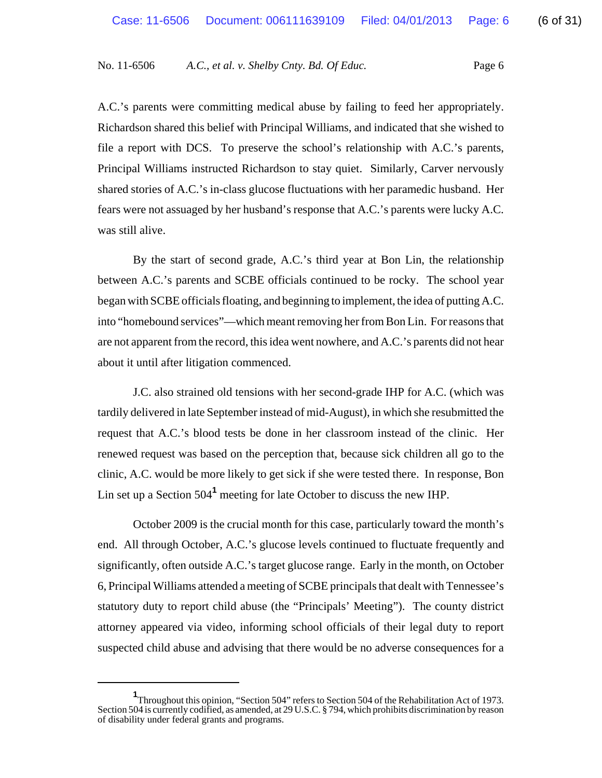A.C.'s parents were committing medical abuse by failing to feed her appropriately. Richardson shared this belief with Principal Williams, and indicated that she wished to file a report with DCS. To preserve the school's relationship with A.C.'s parents, Principal Williams instructed Richardson to stay quiet. Similarly, Carver nervously shared stories of A.C.'s in-class glucose fluctuations with her paramedic husband. Her fears were not assuaged by her husband's response that A.C.'s parents were lucky A.C. was still alive.

By the start of second grade, A.C.'s third year at Bon Lin, the relationship between A.C.'s parents and SCBE officials continued to be rocky. The school year began with SCBE officials floating, and beginning to implement, the idea of putting A.C. into "homebound services"—which meant removing her from Bon Lin. For reasons that are not apparent from the record, this idea went nowhere, and A.C.'s parents did not hear about it until after litigation commenced.

J.C. also strained old tensions with her second-grade IHP for A.C. (which was tardily delivered in late September instead of mid-August), in which she resubmitted the request that A.C.'s blood tests be done in her classroom instead of the clinic. Her renewed request was based on the perception that, because sick children all go to the clinic, A.C. would be more likely to get sick if she were tested there. In response, Bon Lin set up a Section 504**<sup>1</sup>** meeting for late October to discuss the new IHP.

October 2009 is the crucial month for this case, particularly toward the month's end. All through October, A.C.'s glucose levels continued to fluctuate frequently and significantly, often outside A.C.'s target glucose range. Early in the month, on October 6, Principal Williams attended a meeting of SCBE principals that dealt with Tennessee's statutory duty to report child abuse (the "Principals' Meeting"). The county district attorney appeared via video, informing school officials of their legal duty to report suspected child abuse and advising that there would be no adverse consequences for a

**<sup>1</sup>** Throughout this opinion, "Section 504" refers to Section 504 of the Rehabilitation Act of 1973. Section 504 is currently codified, as amended, at 29 U.S.C. § 794, which prohibits discrimination by reason of disability under federal grants and programs.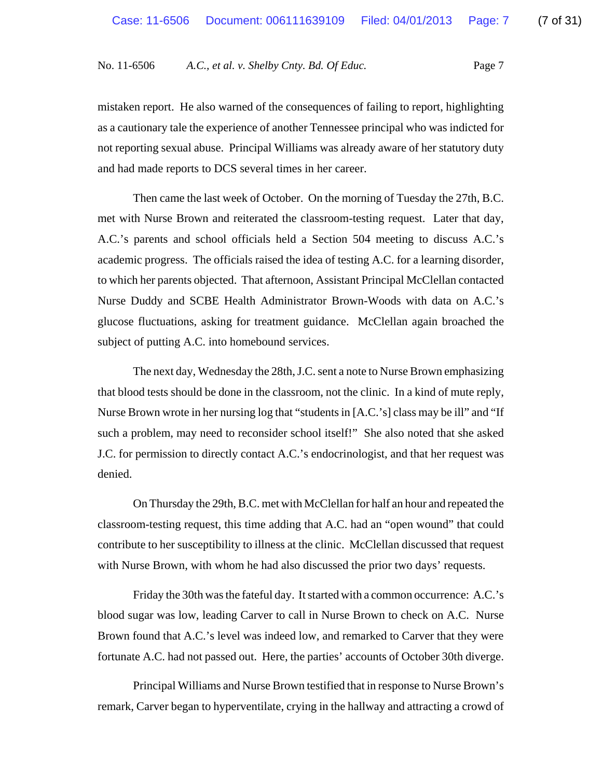mistaken report. He also warned of the consequences of failing to report, highlighting as a cautionary tale the experience of another Tennessee principal who was indicted for not reporting sexual abuse. Principal Williams was already aware of her statutory duty and had made reports to DCS several times in her career.

Then came the last week of October. On the morning of Tuesday the 27th, B.C. met with Nurse Brown and reiterated the classroom-testing request. Later that day, A.C.'s parents and school officials held a Section 504 meeting to discuss A.C.'s academic progress. The officials raised the idea of testing A.C. for a learning disorder, to which her parents objected. That afternoon, Assistant Principal McClellan contacted Nurse Duddy and SCBE Health Administrator Brown-Woods with data on A.C.'s glucose fluctuations, asking for treatment guidance. McClellan again broached the subject of putting A.C. into homebound services.

The next day, Wednesday the 28th, J.C. sent a note to Nurse Brown emphasizing that blood tests should be done in the classroom, not the clinic. In a kind of mute reply, Nurse Brown wrote in her nursing log that "students in [A.C.'s] class may be ill" and "If such a problem, may need to reconsider school itself!" She also noted that she asked J.C. for permission to directly contact A.C.'s endocrinologist, and that her request was denied.

On Thursday the 29th, B.C. met with McClellan for half an hour and repeated the classroom-testing request, this time adding that A.C. had an "open wound" that could contribute to her susceptibility to illness at the clinic. McClellan discussed that request with Nurse Brown, with whom he had also discussed the prior two days' requests.

Friday the 30th was the fateful day. It started with a common occurrence: A.C.'s blood sugar was low, leading Carver to call in Nurse Brown to check on A.C. Nurse Brown found that A.C.'s level was indeed low, and remarked to Carver that they were fortunate A.C. had not passed out. Here, the parties' accounts of October 30th diverge.

Principal Williams and Nurse Brown testified that in response to Nurse Brown's remark, Carver began to hyperventilate, crying in the hallway and attracting a crowd of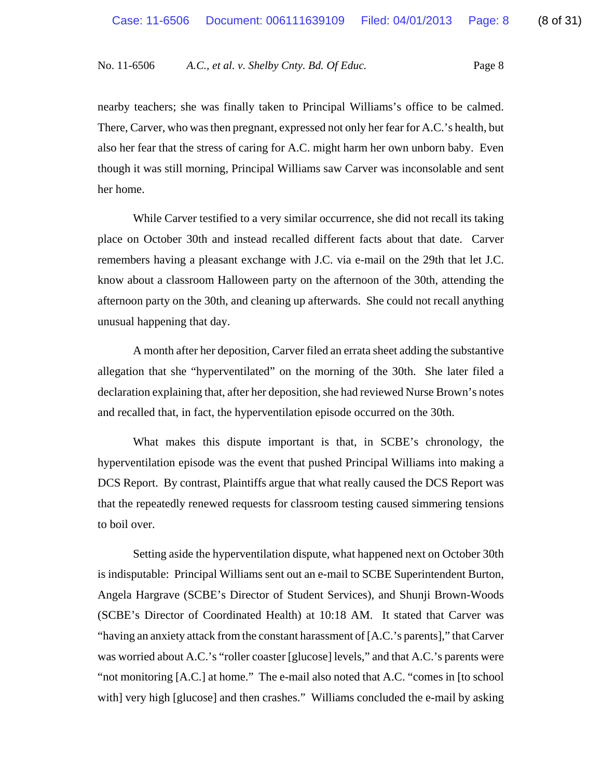nearby teachers; she was finally taken to Principal Williams's office to be calmed. There, Carver, who was then pregnant, expressed not only her fear for A.C.'s health, but also her fear that the stress of caring for A.C. might harm her own unborn baby. Even though it was still morning, Principal Williams saw Carver was inconsolable and sent her home.

While Carver testified to a very similar occurrence, she did not recall its taking place on October 30th and instead recalled different facts about that date. Carver remembers having a pleasant exchange with J.C. via e-mail on the 29th that let J.C. know about a classroom Halloween party on the afternoon of the 30th, attending the afternoon party on the 30th, and cleaning up afterwards. She could not recall anything unusual happening that day.

A month after her deposition, Carver filed an errata sheet adding the substantive allegation that she "hyperventilated" on the morning of the 30th. She later filed a declaration explaining that, after her deposition, she had reviewed Nurse Brown's notes and recalled that, in fact, the hyperventilation episode occurred on the 30th.

What makes this dispute important is that, in SCBE's chronology, the hyperventilation episode was the event that pushed Principal Williams into making a DCS Report. By contrast, Plaintiffs argue that what really caused the DCS Report was that the repeatedly renewed requests for classroom testing caused simmering tensions to boil over.

Setting aside the hyperventilation dispute, what happened next on October 30th is indisputable: Principal Williams sent out an e-mail to SCBE Superintendent Burton, Angela Hargrave (SCBE's Director of Student Services), and Shunji Brown-Woods (SCBE's Director of Coordinated Health) at 10:18 AM. It stated that Carver was "having an anxiety attack from the constant harassment of [A.C.'s parents]," that Carver was worried about A.C.'s "roller coaster [glucose] levels," and that A.C.'s parents were "not monitoring [A.C.] at home." The e-mail also noted that A.C. "comes in [to school with] very high [glucose] and then crashes." Williams concluded the e-mail by asking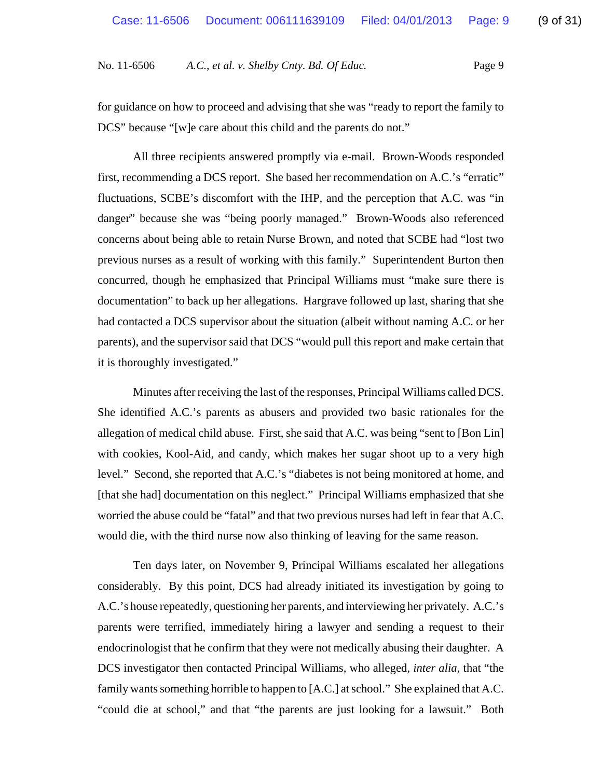for guidance on how to proceed and advising that she was "ready to report the family to DCS" because "[w]e care about this child and the parents do not."

All three recipients answered promptly via e-mail. Brown-Woods responded first, recommending a DCS report. She based her recommendation on A.C.'s "erratic" fluctuations, SCBE's discomfort with the IHP, and the perception that A.C. was "in danger" because she was "being poorly managed." Brown-Woods also referenced concerns about being able to retain Nurse Brown, and noted that SCBE had "lost two previous nurses as a result of working with this family." Superintendent Burton then concurred, though he emphasized that Principal Williams must "make sure there is documentation" to back up her allegations. Hargrave followed up last, sharing that she had contacted a DCS supervisor about the situation (albeit without naming A.C. or her parents), and the supervisor said that DCS "would pull this report and make certain that it is thoroughly investigated."

Minutes after receiving the last of the responses, Principal Williams called DCS. She identified A.C.'s parents as abusers and provided two basic rationales for the allegation of medical child abuse. First, she said that A.C. was being "sent to [Bon Lin] with cookies, Kool-Aid, and candy, which makes her sugar shoot up to a very high level." Second, she reported that A.C.'s "diabetes is not being monitored at home, and [that she had] documentation on this neglect." Principal Williams emphasized that she worried the abuse could be "fatal" and that two previous nurses had left in fear that A.C. would die, with the third nurse now also thinking of leaving for the same reason.

Ten days later, on November 9, Principal Williams escalated her allegations considerably. By this point, DCS had already initiated its investigation by going to A.C.'s house repeatedly, questioning her parents, and interviewing her privately. A.C.'s parents were terrified, immediately hiring a lawyer and sending a request to their endocrinologist that he confirm that they were not medically abusing their daughter. A DCS investigator then contacted Principal Williams, who alleged, *inter alia*, that "the family wants something horrible to happen to [A.C.] at school." She explained that A.C. "could die at school," and that "the parents are just looking for a lawsuit." Both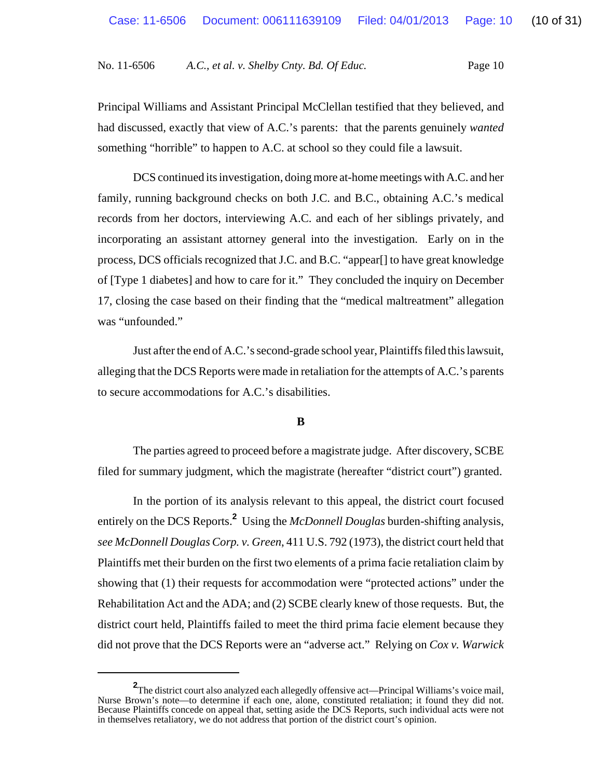Principal Williams and Assistant Principal McClellan testified that they believed, and had discussed, exactly that view of A.C.'s parents: that the parents genuinely *wanted* something "horrible" to happen to A.C. at school so they could file a lawsuit.

DCS continued its investigation, doing more at-home meetings with A.C. and her family, running background checks on both J.C. and B.C., obtaining A.C.'s medical records from her doctors, interviewing A.C. and each of her siblings privately, and incorporating an assistant attorney general into the investigation. Early on in the process, DCS officials recognized that J.C. and B.C. "appear[] to have great knowledge of [Type 1 diabetes] and how to care for it." They concluded the inquiry on December 17, closing the case based on their finding that the "medical maltreatment" allegation was "unfounded."

Just after the end of A.C.'s second-grade school year, Plaintiffs filed this lawsuit, alleging that the DCS Reports were made in retaliation for the attempts of A.C.'s parents to secure accommodations for A.C.'s disabilities.

## **B**

The parties agreed to proceed before a magistrate judge. After discovery, SCBE filed for summary judgment, which the magistrate (hereafter "district court") granted.

In the portion of its analysis relevant to this appeal, the district court focused entirely on the DCS Reports.**<sup>2</sup>** Using the *McDonnell Douglas* burden-shifting analysis, *see McDonnell Douglas Corp. v. Green*, 411 U.S. 792 (1973), the district court held that Plaintiffs met their burden on the first two elements of a prima facie retaliation claim by showing that (1) their requests for accommodation were "protected actions" under the Rehabilitation Act and the ADA; and (2) SCBE clearly knew of those requests. But, the district court held, Plaintiffs failed to meet the third prima facie element because they did not prove that the DCS Reports were an "adverse act." Relying on *Cox v. Warwick*

**<sup>2</sup>** The district court also analyzed each allegedly offensive act—Principal Williams's voice mail, Nurse Brown's note—to determine if each one, alone, constituted retaliation; it found they did not. Because Plaintiffs concede on appeal that, setting aside the DCS Reports, such individual acts were not in themselves retaliatory, we do not address that portion of the district court's opinion.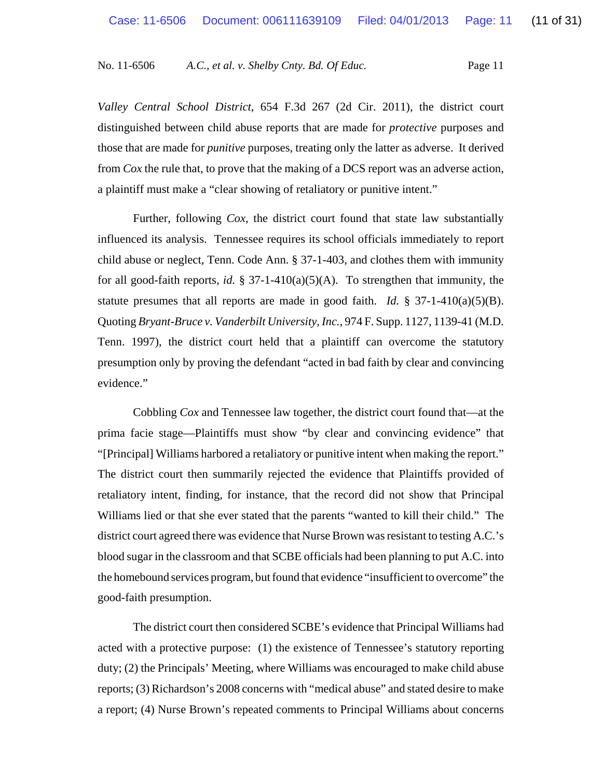*Valley Central School District*, 654 F.3d 267 (2d Cir. 2011), the district court distinguished between child abuse reports that are made for *protective* purposes and those that are made for *punitive* purposes, treating only the latter as adverse. It derived from *Cox* the rule that, to prove that the making of a DCS report was an adverse action, a plaintiff must make a "clear showing of retaliatory or punitive intent."

Further, following *Cox*, the district court found that state law substantially influenced its analysis. Tennessee requires its school officials immediately to report child abuse or neglect, Tenn. Code Ann. § 37-1-403, and clothes them with immunity for all good-faith reports, *id.* § 37-1-410(a)(5)(A). To strengthen that immunity, the statute presumes that all reports are made in good faith. *Id.* § 37-1-410(a)(5)(B). Quoting *Bryant-Bruce v. Vanderbilt University, Inc.*, 974 F. Supp. 1127, 1139-41 (M.D. Tenn. 1997), the district court held that a plaintiff can overcome the statutory presumption only by proving the defendant "acted in bad faith by clear and convincing evidence."

Cobbling *Cox* and Tennessee law together, the district court found that—at the prima facie stage—Plaintiffs must show "by clear and convincing evidence" that "[Principal] Williams harbored a retaliatory or punitive intent when making the report." The district court then summarily rejected the evidence that Plaintiffs provided of retaliatory intent, finding, for instance, that the record did not show that Principal Williams lied or that she ever stated that the parents "wanted to kill their child." The district court agreed there was evidence that Nurse Brown was resistant to testing A.C.'s blood sugar in the classroom and that SCBE officials had been planning to put A.C. into the homebound services program, but found that evidence "insufficient to overcome" the good-faith presumption.

The district court then considered SCBE's evidence that Principal Williams had acted with a protective purpose: (1) the existence of Tennessee's statutory reporting duty; (2) the Principals' Meeting, where Williams was encouraged to make child abuse reports; (3) Richardson's 2008 concerns with "medical abuse" and stated desire to make a report; (4) Nurse Brown's repeated comments to Principal Williams about concerns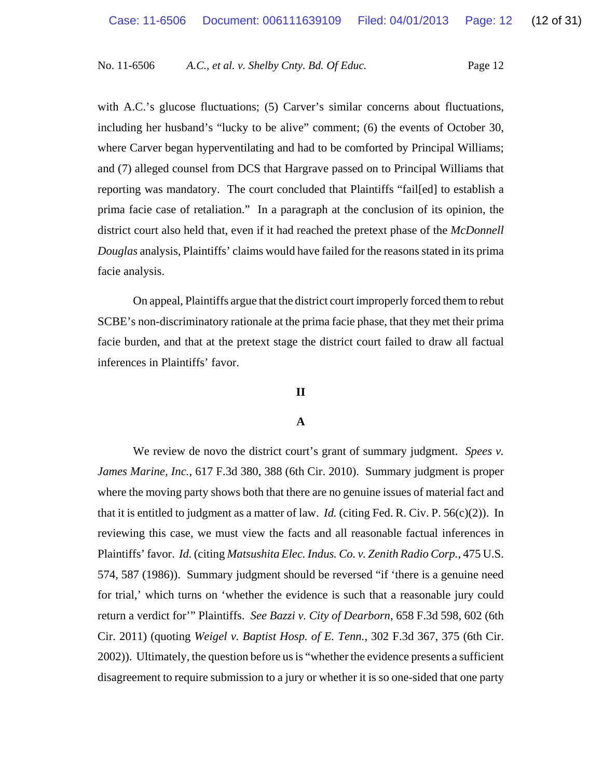with A.C.'s glucose fluctuations; (5) Carver's similar concerns about fluctuations, including her husband's "lucky to be alive" comment; (6) the events of October 30, where Carver began hyperventilating and had to be comforted by Principal Williams; and (7) alleged counsel from DCS that Hargrave passed on to Principal Williams that reporting was mandatory. The court concluded that Plaintiffs "fail[ed] to establish a prima facie case of retaliation." In a paragraph at the conclusion of its opinion, the district court also held that, even if it had reached the pretext phase of the *McDonnell Douglas* analysis, Plaintiffs' claims would have failed for the reasons stated in its prima facie analysis.

On appeal, Plaintiffs argue that the district court improperly forced them to rebut SCBE's non-discriminatory rationale at the prima facie phase, that they met their prima facie burden, and that at the pretext stage the district court failed to draw all factual inferences in Plaintiffs' favor.

## **II**

## **A**

We review de novo the district court's grant of summary judgment. *Spees v. James Marine, Inc.*, 617 F.3d 380, 388 (6th Cir. 2010). Summary judgment is proper where the moving party shows both that there are no genuine issues of material fact and that it is entitled to judgment as a matter of law. *Id.* (citing Fed. R. Civ. P. 56(c)(2)). In reviewing this case, we must view the facts and all reasonable factual inferences in Plaintiffs' favor. *Id.* (citing *Matsushita Elec. Indus. Co. v. Zenith Radio Corp.*, 475 U.S. 574, 587 (1986)). Summary judgment should be reversed "if 'there is a genuine need for trial,' which turns on 'whether the evidence is such that a reasonable jury could return a verdict for'" Plaintiffs. *See Bazzi v. City of Dearborn*, 658 F.3d 598, 602 (6th Cir. 2011) (quoting *Weigel v. Baptist Hosp. of E. Tenn.*, 302 F.3d 367, 375 (6th Cir. 2002)). Ultimately, the question before us is "whether the evidence presents a sufficient disagreement to require submission to a jury or whether it is so one-sided that one party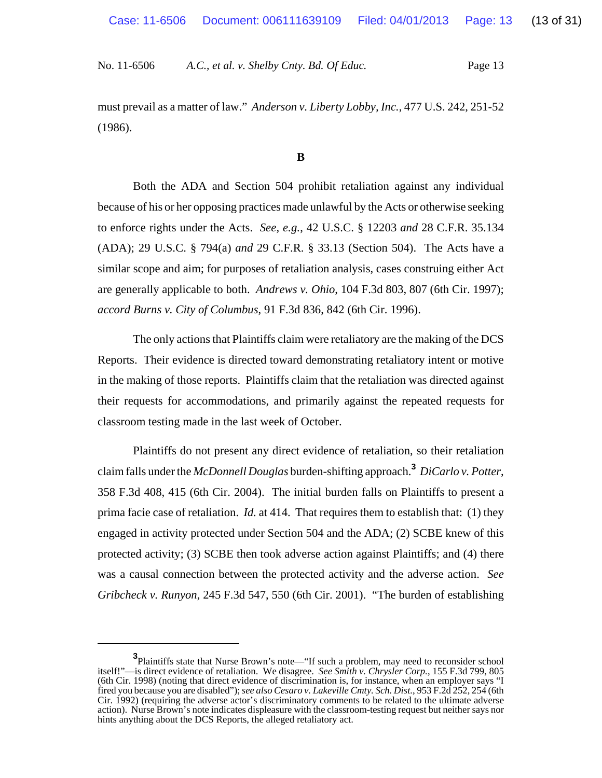must prevail as a matter of law." *Anderson v. Liberty Lobby, Inc.*, 477 U.S. 242, 251-52 (1986).

### **B**

Both the ADA and Section 504 prohibit retaliation against any individual because of his or her opposing practices made unlawful by the Acts or otherwise seeking to enforce rights under the Acts. *See, e.g.*, 42 U.S.C. § 12203 *and* 28 C.F.R. 35.134 (ADA); 29 U.S.C. § 794(a) *and* 29 C.F.R. § 33.13 (Section 504). The Acts have a similar scope and aim; for purposes of retaliation analysis, cases construing either Act are generally applicable to both. *Andrews v. Ohio*, 104 F.3d 803, 807 (6th Cir. 1997); *accord Burns v. City of Columbus*, 91 F.3d 836, 842 (6th Cir. 1996).

The only actions that Plaintiffs claim were retaliatory are the making of the DCS Reports. Their evidence is directed toward demonstrating retaliatory intent or motive in the making of those reports. Plaintiffs claim that the retaliation was directed against their requests for accommodations, and primarily against the repeated requests for classroom testing made in the last week of October.

Plaintiffs do not present any direct evidence of retaliation, so their retaliation claim falls under the *McDonnell Douglas* burden-shifting approach.**<sup>3</sup>** *DiCarlo v. Potter*, 358 F.3d 408, 415 (6th Cir. 2004). The initial burden falls on Plaintiffs to present a prima facie case of retaliation. *Id.* at 414. That requires them to establish that: (1) they engaged in activity protected under Section 504 and the ADA; (2) SCBE knew of this protected activity; (3) SCBE then took adverse action against Plaintiffs; and (4) there was a causal connection between the protected activity and the adverse action. *See Gribcheck v. Runyon*, 245 F.3d 547, 550 (6th Cir. 2001). "The burden of establishing

**<sup>3</sup>** Plaintiffs state that Nurse Brown's note—"If such a problem, may need to reconsider school itself!"—is direct evidence of retaliation. We disagree. *See Smith v. Chrysler Corp.*, 155 F.3d 799, 805 (6th Cir. 1998) (noting that direct evidence of discrimination is, for instance, when an employer says "I fired you because you are disabled"); *see also Cesaro v. Lakeville Cmty. Sch. Dist.*, 953 F.2d 252, 254 (6th Cir. 1992) (requiring the adverse actor's discriminatory comments to be related to the ultimate adverse action). Nurse Brown's note indicates displeasure with the classroom-testing request but neither says nor hints anything about the DCS Reports, the alleged retaliatory act.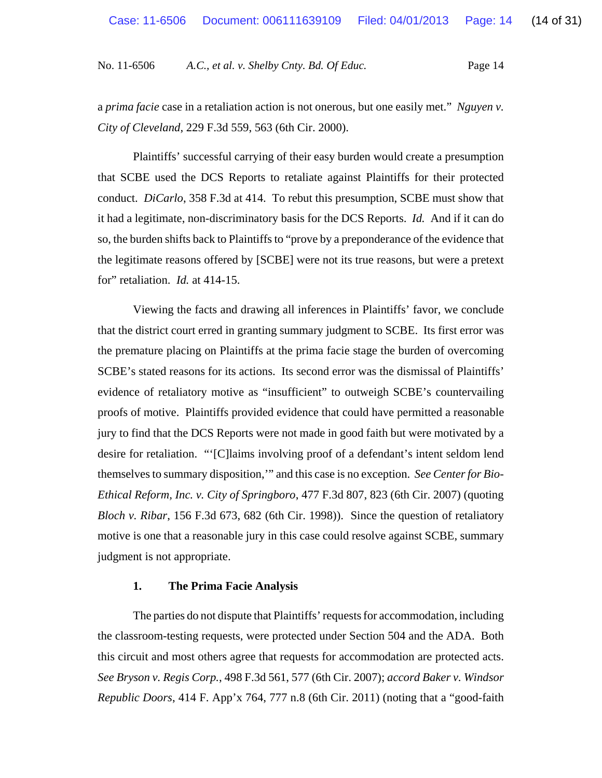a *prima facie* case in a retaliation action is not onerous, but one easily met." *Nguyen v. City of Cleveland*, 229 F.3d 559, 563 (6th Cir. 2000).

Plaintiffs' successful carrying of their easy burden would create a presumption that SCBE used the DCS Reports to retaliate against Plaintiffs for their protected conduct. *DiCarlo*, 358 F.3d at 414. To rebut this presumption, SCBE must show that it had a legitimate, non-discriminatory basis for the DCS Reports. *Id.* And if it can do so, the burden shifts back to Plaintiffs to "prove by a preponderance of the evidence that the legitimate reasons offered by [SCBE] were not its true reasons, but were a pretext for" retaliation. *Id.* at 414-15.

Viewing the facts and drawing all inferences in Plaintiffs' favor, we conclude that the district court erred in granting summary judgment to SCBE. Its first error was the premature placing on Plaintiffs at the prima facie stage the burden of overcoming SCBE's stated reasons for its actions. Its second error was the dismissal of Plaintiffs' evidence of retaliatory motive as "insufficient" to outweigh SCBE's countervailing proofs of motive. Plaintiffs provided evidence that could have permitted a reasonable jury to find that the DCS Reports were not made in good faith but were motivated by a desire for retaliation. "'[C]laims involving proof of a defendant's intent seldom lend themselves to summary disposition,'" and this case is no exception. *See Center for Bio-Ethical Reform, Inc. v. City of Springboro*, 477 F.3d 807, 823 (6th Cir. 2007) (quoting *Bloch v. Ribar*, 156 F.3d 673, 682 (6th Cir. 1998)). Since the question of retaliatory motive is one that a reasonable jury in this case could resolve against SCBE, summary judgment is not appropriate.

#### **1. The Prima Facie Analysis**

The parties do not dispute that Plaintiffs' requests for accommodation, including the classroom-testing requests, were protected under Section 504 and the ADA. Both this circuit and most others agree that requests for accommodation are protected acts. *See Bryson v. Regis Corp.*, 498 F.3d 561, 577 (6th Cir. 2007); *accord Baker v. Windsor Republic Doors*, 414 F. App'x 764, 777 n.8 (6th Cir. 2011) (noting that a "good-faith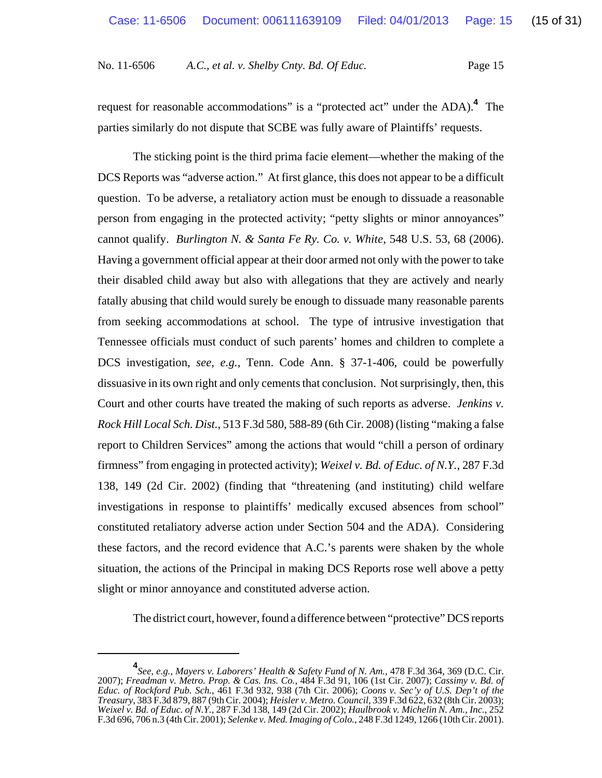request for reasonable accommodations" is a "protected act" under the ADA).<sup>4</sup> The parties similarly do not dispute that SCBE was fully aware of Plaintiffs' requests.

The sticking point is the third prima facie element—whether the making of the DCS Reports was "adverse action." At first glance, this does not appear to be a difficult question. To be adverse, a retaliatory action must be enough to dissuade a reasonable person from engaging in the protected activity; "petty slights or minor annoyances" cannot qualify. *Burlington N. & Santa Fe Ry. Co. v. White*, 548 U.S. 53, 68 (2006). Having a government official appear at their door armed not only with the power to take their disabled child away but also with allegations that they are actively and nearly fatally abusing that child would surely be enough to dissuade many reasonable parents from seeking accommodations at school. The type of intrusive investigation that Tennessee officials must conduct of such parents' homes and children to complete a DCS investigation, *see, e.g.*, Tenn. Code Ann. § 37-1-406, could be powerfully dissuasive in its own right and only cements that conclusion. Not surprisingly, then, this Court and other courts have treated the making of such reports as adverse. *Jenkins v. Rock Hill Local Sch. Dist.*, 513 F.3d 580, 588-89 (6th Cir. 2008) (listing "making a false report to Children Services" among the actions that would "chill a person of ordinary firmness" from engaging in protected activity); *Weixel v. Bd. of Educ. of N.Y.*, 287 F.3d 138, 149 (2d Cir. 2002) (finding that "threatening (and instituting) child welfare investigations in response to plaintiffs' medically excused absences from school" constituted retaliatory adverse action under Section 504 and the ADA). Considering these factors, and the record evidence that A.C.'s parents were shaken by the whole situation, the actions of the Principal in making DCS Reports rose well above a petty slight or minor annoyance and constituted adverse action.

The district court, however, found a difference between "protective" DCS reports

**<sup>4</sup>** *See, e.g.*, *Mayers v. Laborers' Health & Safety Fund of N. Am.*, 478 F.3d 364, 369 (D.C. Cir. 2007); *Freadman v. Metro. Prop. & Cas. Ins. Co.*, 484 F.3d 91, 106 (1st Cir. 2007); *Cassimy v. Bd. of Educ. of Rockford Pub. Sch.*, 461 F.3d 932, 938 (7th Cir. 2006); *Coons v. Sec'y of U.S. Dep't of the Treasury*, 383 F.3d 879, 887 (9th Cir. 2004); *Heisler v. Metro. Council*, 339 F.3d 622, 632 (8th Cir. 2003); *Weixel v. Bd. of Educ. of N.Y.*, 287 F.3d 138, 149 (2d Cir. 2002); *Haulbrook v. Michelin N. Am., Inc.*, 252 F.3d 696, 706 n.3 (4th Cir. 2001); *Selenke v. Med. Imaging of Colo.*, 248 F.3d 1249, 1266 (10th Cir. 2001).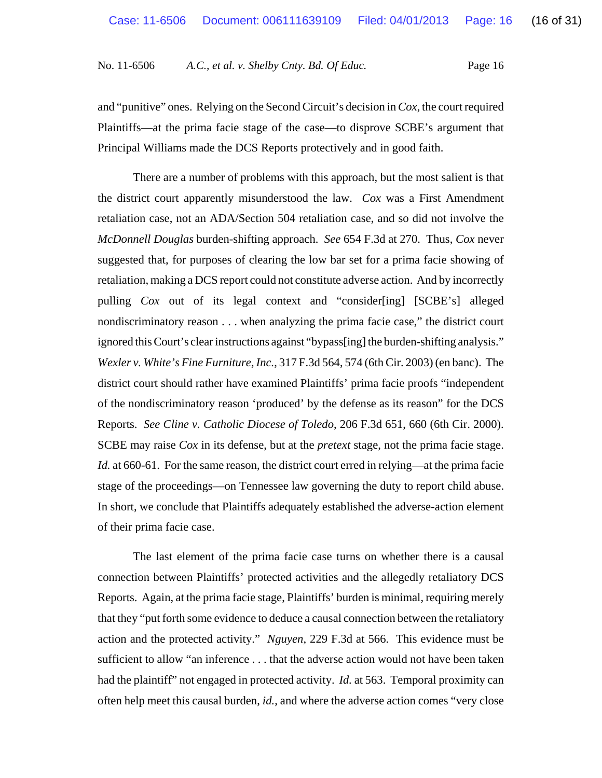and "punitive" ones. Relying on the Second Circuit's decision in *Cox*, the court required Plaintiffs—at the prima facie stage of the case—to disprove SCBE's argument that Principal Williams made the DCS Reports protectively and in good faith.

There are a number of problems with this approach, but the most salient is that the district court apparently misunderstood the law. *Cox* was a First Amendment retaliation case, not an ADA/Section 504 retaliation case, and so did not involve the *McDonnell Douglas* burden-shifting approach. *See* 654 F.3d at 270. Thus, *Cox* never suggested that, for purposes of clearing the low bar set for a prima facie showing of retaliation, making a DCS report could not constitute adverse action. And by incorrectly pulling *Cox* out of its legal context and "consider[ing] [SCBE's] alleged nondiscriminatory reason . . . when analyzing the prima facie case," the district court ignored this Court's clear instructions against "bypass[ing] the burden-shifting analysis." *Wexler v. White's Fine Furniture, Inc.*, 317 F.3d 564, 574 (6th Cir. 2003) (en banc). The district court should rather have examined Plaintiffs' prima facie proofs "independent of the nondiscriminatory reason 'produced' by the defense as its reason" for the DCS Reports. *See Cline v. Catholic Diocese of Toledo*, 206 F.3d 651, 660 (6th Cir. 2000). SCBE may raise *Cox* in its defense, but at the *pretext* stage, not the prima facie stage. *Id.* at 660-61. For the same reason, the district court erred in relying—at the prima facie stage of the proceedings—on Tennessee law governing the duty to report child abuse. In short, we conclude that Plaintiffs adequately established the adverse-action element of their prima facie case.

The last element of the prima facie case turns on whether there is a causal connection between Plaintiffs' protected activities and the allegedly retaliatory DCS Reports. Again, at the prima facie stage, Plaintiffs' burden is minimal, requiring merely that they "put forth some evidence to deduce a causal connection between the retaliatory action and the protected activity." *Nguyen*, 229 F.3d at 566. This evidence must be sufficient to allow "an inference . . . that the adverse action would not have been taken had the plaintiff" not engaged in protected activity. *Id.* at 563. Temporal proximity can often help meet this causal burden, *id.*, and where the adverse action comes "very close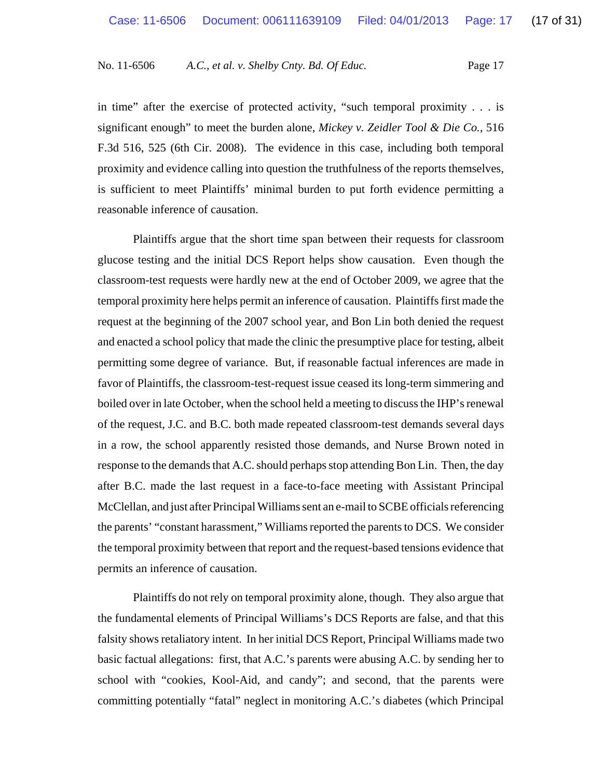in time" after the exercise of protected activity, "such temporal proximity  $\ldots$  is significant enough" to meet the burden alone, *Mickey v. Zeidler Tool & Die Co.*, 516 F.3d 516, 525 (6th Cir. 2008). The evidence in this case, including both temporal proximity and evidence calling into question the truthfulness of the reports themselves, is sufficient to meet Plaintiffs' minimal burden to put forth evidence permitting a reasonable inference of causation.

Plaintiffs argue that the short time span between their requests for classroom glucose testing and the initial DCS Report helps show causation. Even though the classroom-test requests were hardly new at the end of October 2009, we agree that the temporal proximity here helps permit an inference of causation. Plaintiffs first made the request at the beginning of the 2007 school year, and Bon Lin both denied the request and enacted a school policy that made the clinic the presumptive place for testing, albeit permitting some degree of variance. But, if reasonable factual inferences are made in favor of Plaintiffs, the classroom-test-request issue ceased its long-term simmering and boiled over in late October, when the school held a meeting to discuss the IHP's renewal of the request, J.C. and B.C. both made repeated classroom-test demands several days in a row, the school apparently resisted those demands, and Nurse Brown noted in response to the demands that A.C. should perhaps stop attending Bon Lin. Then, the day after B.C. made the last request in a face-to-face meeting with Assistant Principal McClellan, and just after Principal Williams sent an e-mail to SCBE officials referencing the parents' "constant harassment," Williams reported the parents to DCS. We consider the temporal proximity between that report and the request-based tensions evidence that permits an inference of causation.

Plaintiffs do not rely on temporal proximity alone, though. They also argue that the fundamental elements of Principal Williams's DCS Reports are false, and that this falsity shows retaliatory intent. In her initial DCS Report, Principal Williams made two basic factual allegations: first, that A.C.'s parents were abusing A.C. by sending her to school with "cookies, Kool-Aid, and candy"; and second, that the parents were committing potentially "fatal" neglect in monitoring A.C.'s diabetes (which Principal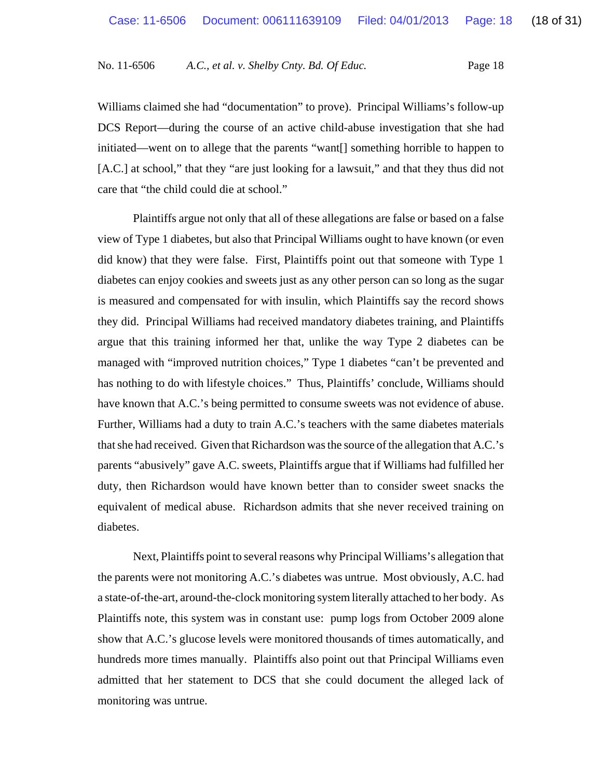Williams claimed she had "documentation" to prove). Principal Williams's follow-up DCS Report—during the course of an active child-abuse investigation that she had initiated—went on to allege that the parents "want[] something horrible to happen to [A.C.] at school," that they "are just looking for a lawsuit," and that they thus did not care that "the child could die at school."

Plaintiffs argue not only that all of these allegations are false or based on a false view of Type 1 diabetes, but also that Principal Williams ought to have known (or even did know) that they were false. First, Plaintiffs point out that someone with Type 1 diabetes can enjoy cookies and sweets just as any other person can so long as the sugar is measured and compensated for with insulin, which Plaintiffs say the record shows they did. Principal Williams had received mandatory diabetes training, and Plaintiffs argue that this training informed her that, unlike the way Type 2 diabetes can be managed with "improved nutrition choices," Type 1 diabetes "can't be prevented and has nothing to do with lifestyle choices." Thus, Plaintiffs' conclude, Williams should have known that A.C.'s being permitted to consume sweets was not evidence of abuse. Further, Williams had a duty to train A.C.'s teachers with the same diabetes materials that she had received. Given that Richardson was the source of the allegation that A.C.'s parents "abusively" gave A.C. sweets, Plaintiffs argue that if Williams had fulfilled her duty, then Richardson would have known better than to consider sweet snacks the equivalent of medical abuse. Richardson admits that she never received training on diabetes.

Next, Plaintiffs point to several reasons why Principal Williams's allegation that the parents were not monitoring A.C.'s diabetes was untrue. Most obviously, A.C. had a state-of-the-art, around-the-clock monitoring system literally attached to her body. As Plaintiffs note, this system was in constant use: pump logs from October 2009 alone show that A.C.'s glucose levels were monitored thousands of times automatically, and hundreds more times manually. Plaintiffs also point out that Principal Williams even admitted that her statement to DCS that she could document the alleged lack of monitoring was untrue.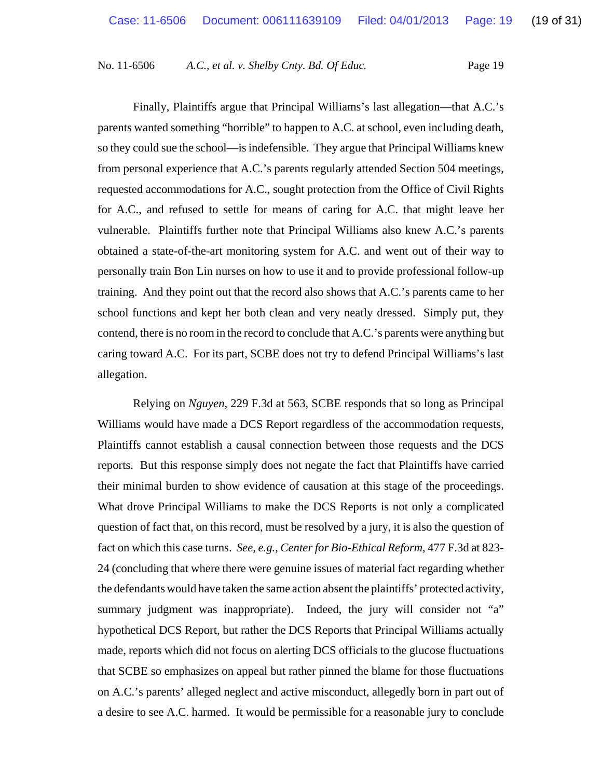Finally, Plaintiffs argue that Principal Williams's last allegation—that A.C.'s parents wanted something "horrible" to happen to A.C. at school, even including death, so they could sue the school—is indefensible. They argue that Principal Williams knew from personal experience that A.C.'s parents regularly attended Section 504 meetings, requested accommodations for A.C., sought protection from the Office of Civil Rights for A.C., and refused to settle for means of caring for A.C. that might leave her vulnerable. Plaintiffs further note that Principal Williams also knew A.C.'s parents obtained a state-of-the-art monitoring system for A.C. and went out of their way to personally train Bon Lin nurses on how to use it and to provide professional follow-up training. And they point out that the record also shows that A.C.'s parents came to her school functions and kept her both clean and very neatly dressed. Simply put, they contend, there is no room in the record to conclude that A.C.'s parents were anything but caring toward A.C. For its part, SCBE does not try to defend Principal Williams's last allegation.

Relying on *Nguyen*, 229 F.3d at 563, SCBE responds that so long as Principal Williams would have made a DCS Report regardless of the accommodation requests, Plaintiffs cannot establish a causal connection between those requests and the DCS reports. But this response simply does not negate the fact that Plaintiffs have carried their minimal burden to show evidence of causation at this stage of the proceedings. What drove Principal Williams to make the DCS Reports is not only a complicated question of fact that, on this record, must be resolved by a jury, it is also the question of fact on which this case turns. *See, e.g.*, *Center for Bio-Ethical Reform*, 477 F.3d at 823- 24 (concluding that where there were genuine issues of material fact regarding whether the defendants would have taken the same action absent the plaintiffs' protected activity, summary judgment was inappropriate). Indeed, the jury will consider not "a" hypothetical DCS Report, but rather the DCS Reports that Principal Williams actually made, reports which did not focus on alerting DCS officials to the glucose fluctuations that SCBE so emphasizes on appeal but rather pinned the blame for those fluctuations on A.C.'s parents' alleged neglect and active misconduct, allegedly born in part out of a desire to see A.C. harmed. It would be permissible for a reasonable jury to conclude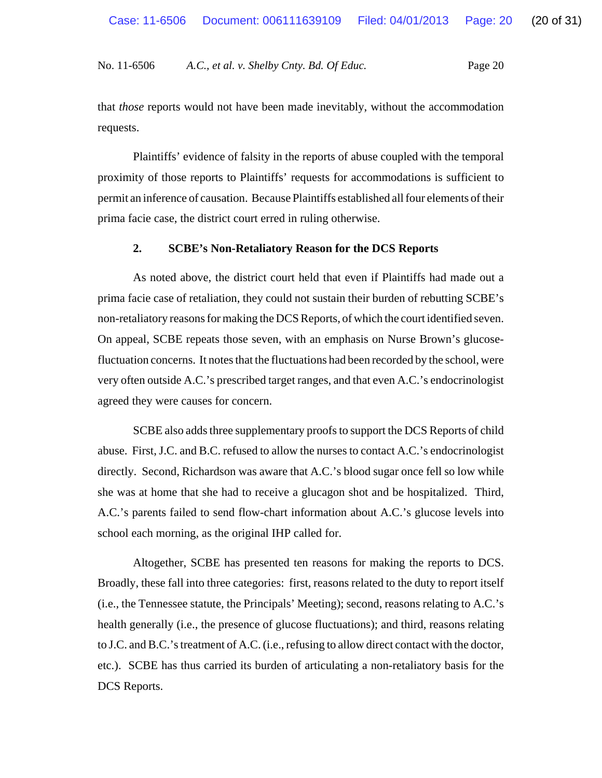that *those* reports would not have been made inevitably, without the accommodation requests.

Plaintiffs' evidence of falsity in the reports of abuse coupled with the temporal proximity of those reports to Plaintiffs' requests for accommodations is sufficient to permit an inference of causation. Because Plaintiffs established all four elements of their prima facie case, the district court erred in ruling otherwise.

### **2. SCBE's Non-Retaliatory Reason for the DCS Reports**

As noted above, the district court held that even if Plaintiffs had made out a prima facie case of retaliation, they could not sustain their burden of rebutting SCBE's non-retaliatory reasons for making the DCS Reports, of which the court identified seven. On appeal, SCBE repeats those seven, with an emphasis on Nurse Brown's glucosefluctuation concerns. It notes that the fluctuations had been recorded by the school, were very often outside A.C.'s prescribed target ranges, and that even A.C.'s endocrinologist agreed they were causes for concern.

SCBE also adds three supplementary proofs to support the DCS Reports of child abuse. First, J.C. and B.C. refused to allow the nurses to contact A.C.'s endocrinologist directly. Second, Richardson was aware that A.C.'s blood sugar once fell so low while she was at home that she had to receive a glucagon shot and be hospitalized. Third, A.C.'s parents failed to send flow-chart information about A.C.'s glucose levels into school each morning, as the original IHP called for.

Altogether, SCBE has presented ten reasons for making the reports to DCS. Broadly, these fall into three categories: first, reasons related to the duty to report itself (i.e., the Tennessee statute, the Principals' Meeting); second, reasons relating to A.C.'s health generally (i.e., the presence of glucose fluctuations); and third, reasons relating to J.C. and B.C.'s treatment of A.C. (i.e., refusing to allow direct contact with the doctor, etc.). SCBE has thus carried its burden of articulating a non-retaliatory basis for the DCS Reports.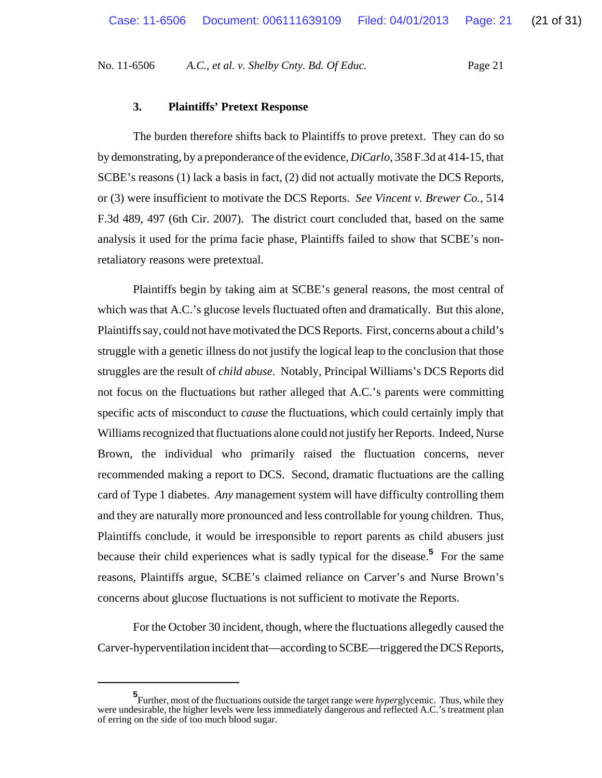#### **3. Plaintiffs' Pretext Response**

The burden therefore shifts back to Plaintiffs to prove pretext. They can do so by demonstrating, by a preponderance of the evidence, *DiCarlo*, 358 F.3d at 414-15, that SCBE's reasons (1) lack a basis in fact, (2) did not actually motivate the DCS Reports, or (3) were insufficient to motivate the DCS Reports. *See Vincent v. Brewer Co.*, 514 F.3d 489, 497 (6th Cir. 2007). The district court concluded that, based on the same analysis it used for the prima facie phase, Plaintiffs failed to show that SCBE's nonretaliatory reasons were pretextual.

Plaintiffs begin by taking aim at SCBE's general reasons, the most central of which was that A.C.'s glucose levels fluctuated often and dramatically. But this alone, Plaintiffs say, could not have motivated the DCS Reports. First, concerns about a child's struggle with a genetic illness do not justify the logical leap to the conclusion that those struggles are the result of *child abuse*. Notably, Principal Williams's DCS Reports did not focus on the fluctuations but rather alleged that A.C.'s parents were committing specific acts of misconduct to *cause* the fluctuations, which could certainly imply that Williams recognized that fluctuations alone could not justify her Reports. Indeed, Nurse Brown, the individual who primarily raised the fluctuation concerns, never recommended making a report to DCS. Second, dramatic fluctuations are the calling card of Type 1 diabetes. *Any* management system will have difficulty controlling them and they are naturally more pronounced and less controllable for young children. Thus, Plaintiffs conclude, it would be irresponsible to report parents as child abusers just because their child experiences what is sadly typical for the disease.**<sup>5</sup>** For the same reasons, Plaintiffs argue, SCBE's claimed reliance on Carver's and Nurse Brown's concerns about glucose fluctuations is not sufficient to motivate the Reports.

For the October 30 incident, though, where the fluctuations allegedly caused the Carver-hyperventilation incident that—according to SCBE—triggered the DCS Reports,

**<sup>5</sup>** Further, most of the fluctuations outside the target range were *hyper*glycemic. Thus, while they were undesirable, the higher levels were less immediately dangerous and reflected A.C.'s treatment plan of erring on the side of too much blood sugar.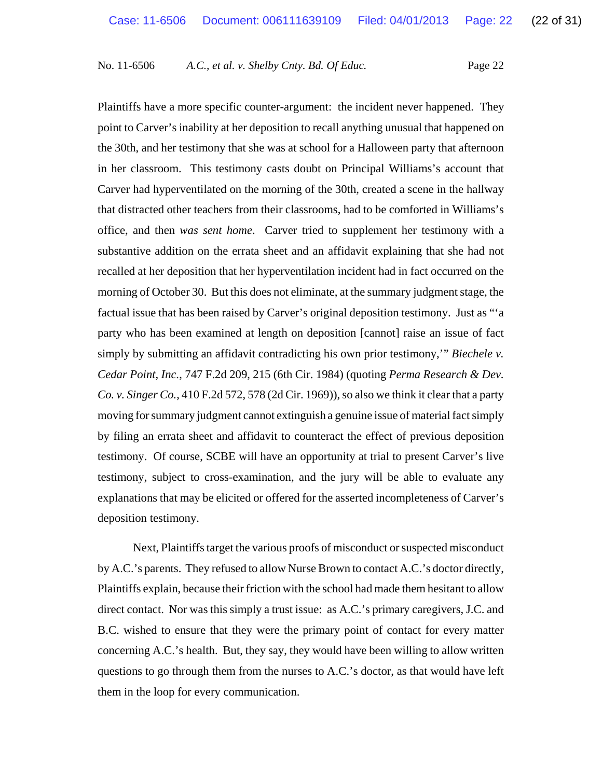Plaintiffs have a more specific counter-argument: the incident never happened. They point to Carver's inability at her deposition to recall anything unusual that happened on the 30th, and her testimony that she was at school for a Halloween party that afternoon in her classroom. This testimony casts doubt on Principal Williams's account that Carver had hyperventilated on the morning of the 30th, created a scene in the hallway that distracted other teachers from their classrooms, had to be comforted in Williams's office, and then *was sent home*. Carver tried to supplement her testimony with a substantive addition on the errata sheet and an affidavit explaining that she had not recalled at her deposition that her hyperventilation incident had in fact occurred on the morning of October 30. But this does not eliminate, at the summary judgment stage, the factual issue that has been raised by Carver's original deposition testimony. Just as "'a party who has been examined at length on deposition [cannot] raise an issue of fact simply by submitting an affidavit contradicting his own prior testimony,'" *Biechele v. Cedar Point, Inc.*, 747 F.2d 209, 215 (6th Cir. 1984) (quoting *Perma Research & Dev. Co. v. Singer Co.*, 410 F.2d 572, 578 (2d Cir. 1969)), so also we think it clear that a party moving for summary judgment cannot extinguish a genuine issue of material fact simply by filing an errata sheet and affidavit to counteract the effect of previous deposition testimony. Of course, SCBE will have an opportunity at trial to present Carver's live testimony, subject to cross-examination, and the jury will be able to evaluate any explanations that may be elicited or offered for the asserted incompleteness of Carver's deposition testimony.

Next, Plaintiffs target the various proofs of misconduct or suspected misconduct by A.C.'s parents. They refused to allow Nurse Brown to contact A.C.'s doctor directly, Plaintiffs explain, because their friction with the school had made them hesitant to allow direct contact. Nor was this simply a trust issue: as A.C.'s primary caregivers, J.C. and B.C. wished to ensure that they were the primary point of contact for every matter concerning A.C.'s health. But, they say, they would have been willing to allow written questions to go through them from the nurses to A.C.'s doctor, as that would have left them in the loop for every communication.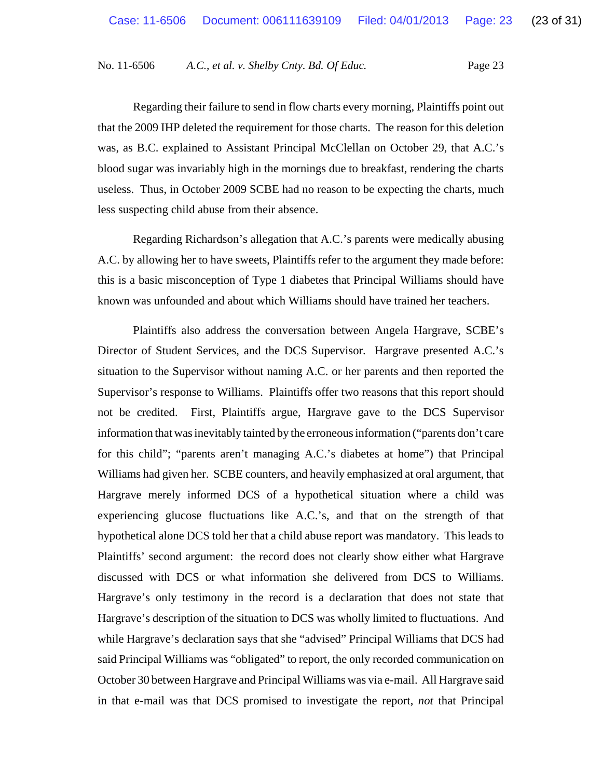Regarding their failure to send in flow charts every morning, Plaintiffs point out that the 2009 IHP deleted the requirement for those charts. The reason for this deletion was, as B.C. explained to Assistant Principal McClellan on October 29, that A.C.'s blood sugar was invariably high in the mornings due to breakfast, rendering the charts useless. Thus, in October 2009 SCBE had no reason to be expecting the charts, much less suspecting child abuse from their absence.

Regarding Richardson's allegation that A.C.'s parents were medically abusing A.C. by allowing her to have sweets, Plaintiffs refer to the argument they made before: this is a basic misconception of Type 1 diabetes that Principal Williams should have known was unfounded and about which Williams should have trained her teachers.

Plaintiffs also address the conversation between Angela Hargrave, SCBE's Director of Student Services, and the DCS Supervisor. Hargrave presented A.C.'s situation to the Supervisor without naming A.C. or her parents and then reported the Supervisor's response to Williams. Plaintiffs offer two reasons that this report should not be credited. First, Plaintiffs argue, Hargrave gave to the DCS Supervisor information that was inevitably tainted by the erroneous information ("parents don't care for this child"; "parents aren't managing A.C.'s diabetes at home") that Principal Williams had given her. SCBE counters, and heavily emphasized at oral argument, that Hargrave merely informed DCS of a hypothetical situation where a child was experiencing glucose fluctuations like A.C.'s, and that on the strength of that hypothetical alone DCS told her that a child abuse report was mandatory. This leads to Plaintiffs' second argument: the record does not clearly show either what Hargrave discussed with DCS or what information she delivered from DCS to Williams. Hargrave's only testimony in the record is a declaration that does not state that Hargrave's description of the situation to DCS was wholly limited to fluctuations. And while Hargrave's declaration says that she "advised" Principal Williams that DCS had said Principal Williams was "obligated" to report, the only recorded communication on October 30 between Hargrave and Principal Williams was via e-mail. All Hargrave said in that e-mail was that DCS promised to investigate the report, *not* that Principal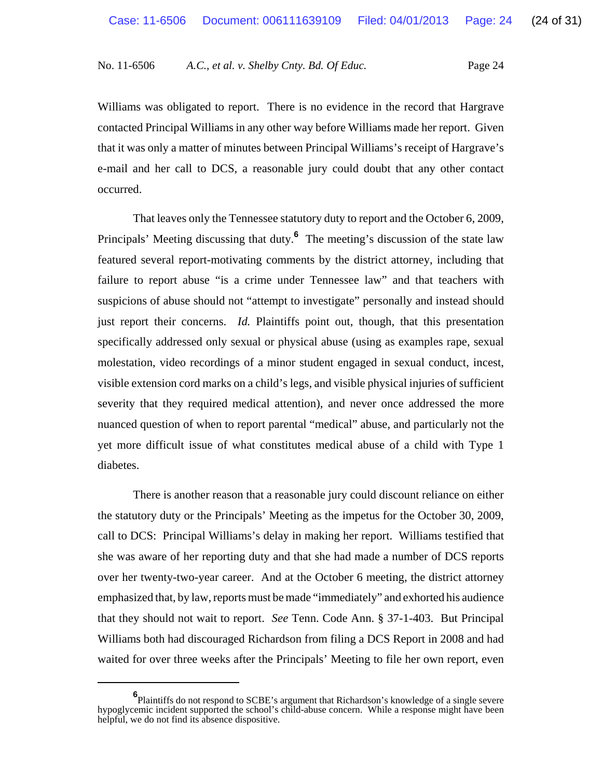Williams was obligated to report. There is no evidence in the record that Hargrave contacted Principal Williams in any other way before Williams made her report. Given that it was only a matter of minutes between Principal Williams's receipt of Hargrave's e-mail and her call to DCS, a reasonable jury could doubt that any other contact occurred.

That leaves only the Tennessee statutory duty to report and the October 6, 2009, Principals' Meeting discussing that duty.<sup>6</sup> The meeting's discussion of the state law featured several report-motivating comments by the district attorney, including that failure to report abuse "is a crime under Tennessee law" and that teachers with suspicions of abuse should not "attempt to investigate" personally and instead should just report their concerns. *Id.* Plaintiffs point out, though, that this presentation specifically addressed only sexual or physical abuse (using as examples rape, sexual molestation, video recordings of a minor student engaged in sexual conduct, incest, visible extension cord marks on a child's legs, and visible physical injuries of sufficient severity that they required medical attention), and never once addressed the more nuanced question of when to report parental "medical" abuse, and particularly not the yet more difficult issue of what constitutes medical abuse of a child with Type 1 diabetes.

There is another reason that a reasonable jury could discount reliance on either the statutory duty or the Principals' Meeting as the impetus for the October 30, 2009, call to DCS: Principal Williams's delay in making her report. Williams testified that she was aware of her reporting duty and that she had made a number of DCS reports over her twenty-two-year career. And at the October 6 meeting, the district attorney emphasized that, by law, reports must be made "immediately" and exhorted his audience that they should not wait to report. *See* Tenn. Code Ann. § 37-1-403. But Principal Williams both had discouraged Richardson from filing a DCS Report in 2008 and had waited for over three weeks after the Principals' Meeting to file her own report, even

**<sup>6</sup>** Plaintiffs do not respond to SCBE's argument that Richardson's knowledge of a single severe hypoglycemic incident supported the school's child-abuse concern. While a response might have been helpful, we do not find its absence dispositive.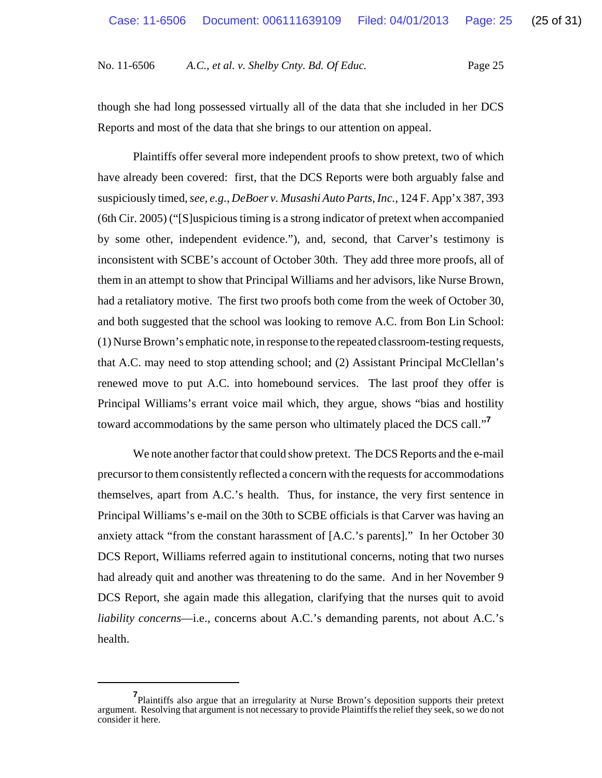though she had long possessed virtually all of the data that she included in her DCS Reports and most of the data that she brings to our attention on appeal.

Plaintiffs offer several more independent proofs to show pretext, two of which have already been covered: first, that the DCS Reports were both arguably false and suspiciously timed, *see, e.g.*, *DeBoer v. Musashi Auto Parts, Inc.*, 124 F. App'x 387, 393 (6th Cir. 2005) ("[S]uspicious timing is a strong indicator of pretext when accompanied by some other, independent evidence."), and, second, that Carver's testimony is inconsistent with SCBE's account of October 30th. They add three more proofs, all of them in an attempt to show that Principal Williams and her advisors, like Nurse Brown, had a retaliatory motive. The first two proofs both come from the week of October 30, and both suggested that the school was looking to remove A.C. from Bon Lin School: (1) Nurse Brown's emphatic note, in response to the repeated classroom-testing requests, that A.C. may need to stop attending school; and (2) Assistant Principal McClellan's renewed move to put A.C. into homebound services. The last proof they offer is Principal Williams's errant voice mail which, they argue, shows "bias and hostility toward accommodations by the same person who ultimately placed the DCS call."**<sup>7</sup>**

We note another factor that could show pretext. The DCS Reports and the e-mail precursor to them consistently reflected a concern with the requests for accommodations themselves, apart from A.C.'s health. Thus, for instance, the very first sentence in Principal Williams's e-mail on the 30th to SCBE officials is that Carver was having an anxiety attack "from the constant harassment of [A.C.'s parents]." In her October 30 DCS Report, Williams referred again to institutional concerns, noting that two nurses had already quit and another was threatening to do the same. And in her November 9 DCS Report, she again made this allegation, clarifying that the nurses quit to avoid *liability concerns*—i.e., concerns about A.C.'s demanding parents, not about A.C.'s health.

**<sup>7</sup>** Plaintiffs also argue that an irregularity at Nurse Brown's deposition supports their pretext argument. Resolving that argument is not necessary to provide Plaintiffs the relief they seek, so we do not consider it here.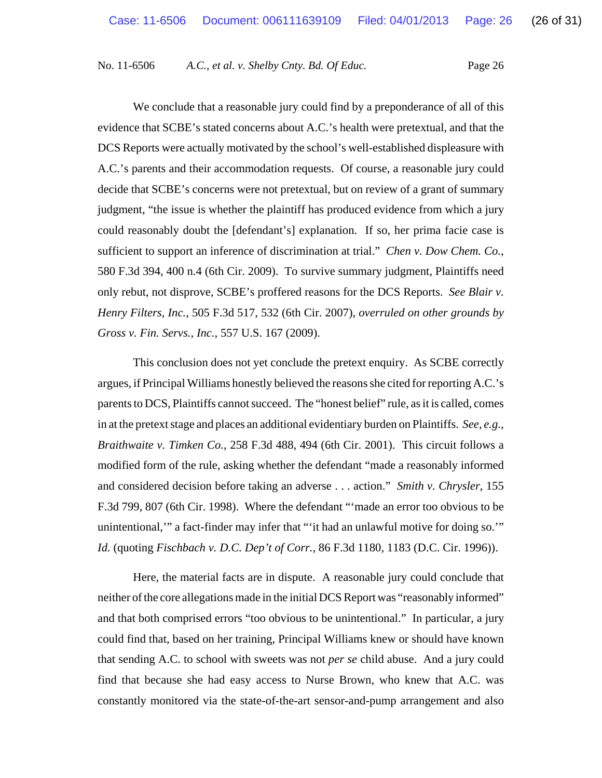We conclude that a reasonable jury could find by a preponderance of all of this evidence that SCBE's stated concerns about A.C.'s health were pretextual, and that the DCS Reports were actually motivated by the school's well-established displeasure with A.C.'s parents and their accommodation requests. Of course, a reasonable jury could decide that SCBE's concerns were not pretextual, but on review of a grant of summary judgment, "the issue is whether the plaintiff has produced evidence from which a jury could reasonably doubt the [defendant's] explanation. If so, her prima facie case is sufficient to support an inference of discrimination at trial." *Chen v. Dow Chem. Co.*, 580 F.3d 394, 400 n.4 (6th Cir. 2009). To survive summary judgment, Plaintiffs need only rebut, not disprove, SCBE's proffered reasons for the DCS Reports. *See Blair v. Henry Filters, Inc.*, 505 F.3d 517, 532 (6th Cir. 2007), *overruled on other grounds by Gross v. Fin. Servs., Inc.*, 557 U.S. 167 (2009).

This conclusion does not yet conclude the pretext enquiry. As SCBE correctly argues, if Principal Williams honestly believed the reasons she cited for reporting A.C.'s parents to DCS, Plaintiffs cannot succeed. The "honest belief" rule, as it is called, comes in at the pretext stage and places an additional evidentiary burden on Plaintiffs. *See, e.g.*, *Braithwaite v. Timken Co.*, 258 F.3d 488, 494 (6th Cir. 2001). This circuit follows a modified form of the rule, asking whether the defendant "made a reasonably informed and considered decision before taking an adverse . . . action." *Smith v. Chrysler*, 155 F.3d 799, 807 (6th Cir. 1998). Where the defendant "'made an error too obvious to be unintentional,'" a fact-finder may infer that "'it had an unlawful motive for doing so.'" *Id.* (quoting *Fischbach v. D.C. Dep't of Corr.*, 86 F.3d 1180, 1183 (D.C. Cir. 1996)).

Here, the material facts are in dispute. A reasonable jury could conclude that neither of the core allegations made in the initial DCS Report was "reasonably informed" and that both comprised errors "too obvious to be unintentional." In particular, a jury could find that, based on her training, Principal Williams knew or should have known that sending A.C. to school with sweets was not *per se* child abuse. And a jury could find that because she had easy access to Nurse Brown, who knew that A.C. was constantly monitored via the state-of-the-art sensor-and-pump arrangement and also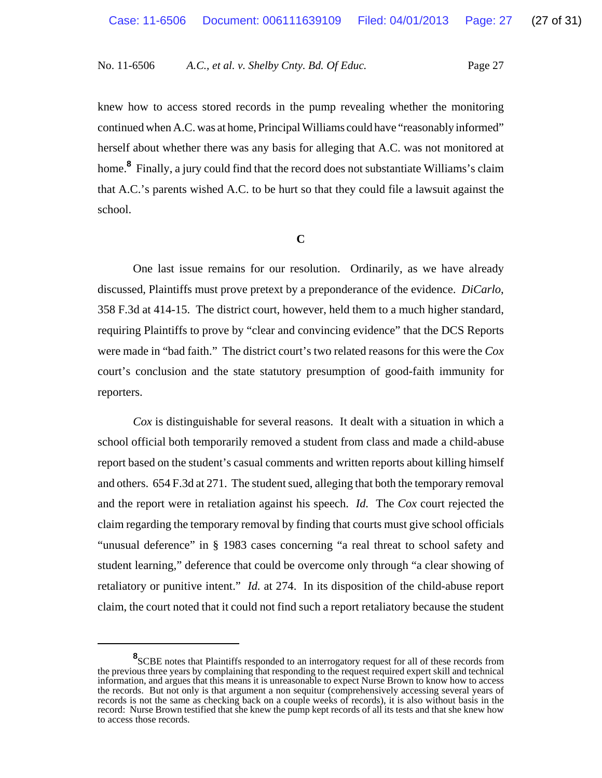knew how to access stored records in the pump revealing whether the monitoring continued when A.C. was at home, Principal Williams could have "reasonably informed" herself about whether there was any basis for alleging that A.C. was not monitored at home.**<sup>8</sup>** Finally, a jury could find that the record does not substantiate Williams's claim that A.C.'s parents wished A.C. to be hurt so that they could file a lawsuit against the school.

**C**

One last issue remains for our resolution. Ordinarily, as we have already discussed, Plaintiffs must prove pretext by a preponderance of the evidence. *DiCarlo*, 358 F.3d at 414-15. The district court, however, held them to a much higher standard, requiring Plaintiffs to prove by "clear and convincing evidence" that the DCS Reports were made in "bad faith." The district court's two related reasons for this were the *Cox* court's conclusion and the state statutory presumption of good-faith immunity for reporters.

*Cox* is distinguishable for several reasons. It dealt with a situation in which a school official both temporarily removed a student from class and made a child-abuse report based on the student's casual comments and written reports about killing himself and others. 654 F.3d at 271. The student sued, alleging that both the temporary removal and the report were in retaliation against his speech. *Id.* The *Cox* court rejected the claim regarding the temporary removal by finding that courts must give school officials "unusual deference" in § 1983 cases concerning "a real threat to school safety and student learning," deference that could be overcome only through "a clear showing of retaliatory or punitive intent." *Id.* at 274. In its disposition of the child-abuse report claim, the court noted that it could not find such a report retaliatory because the student

<sup>&</sup>lt;sup>8</sup> SCBE notes that Plaintiffs responded to an interrogatory request for all of these records from the previous three years by complaining that responding to the request required expert skill and technical information, and argues that this means it is unreasonable to expect Nurse Brown to know how to access the records. But not only is that argument a non sequitur (comprehensively accessing several years of records is not the same as checking back on a couple weeks of records), it is also without basis in the record: Nurse Brown testified that she knew the pump kept records of all its tests and that she knew how to access those records.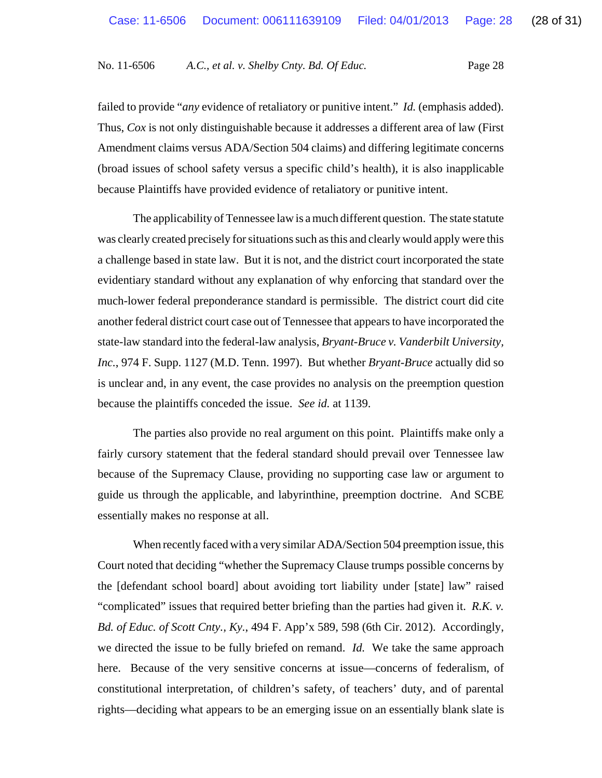failed to provide "*any* evidence of retaliatory or punitive intent." *Id.* (emphasis added). Thus, *Cox* is not only distinguishable because it addresses a different area of law (First Amendment claims versus ADA/Section 504 claims) and differing legitimate concerns (broad issues of school safety versus a specific child's health), it is also inapplicable because Plaintiffs have provided evidence of retaliatory or punitive intent.

The applicability of Tennessee law is a much different question. The state statute was clearly created precisely for situations such as this and clearly would apply were this a challenge based in state law. But it is not, and the district court incorporated the state evidentiary standard without any explanation of why enforcing that standard over the much-lower federal preponderance standard is permissible. The district court did cite another federal district court case out of Tennessee that appears to have incorporated the state-law standard into the federal-law analysis, *Bryant-Bruce v. Vanderbilt University, Inc.*, 974 F. Supp. 1127 (M.D. Tenn. 1997). But whether *Bryant-Bruce* actually did so is unclear and, in any event, the case provides no analysis on the preemption question because the plaintiffs conceded the issue. *See id.* at 1139.

The parties also provide no real argument on this point. Plaintiffs make only a fairly cursory statement that the federal standard should prevail over Tennessee law because of the Supremacy Clause, providing no supporting case law or argument to guide us through the applicable, and labyrinthine, preemption doctrine. And SCBE essentially makes no response at all.

When recently faced with a very similar ADA/Section 504 preemption issue, this Court noted that deciding "whether the Supremacy Clause trumps possible concerns by the [defendant school board] about avoiding tort liability under [state] law" raised "complicated" issues that required better briefing than the parties had given it. *R.K. v. Bd. of Educ. of Scott Cnty., Ky.*, 494 F. App'x 589, 598 (6th Cir. 2012). Accordingly, we directed the issue to be fully briefed on remand. *Id.* We take the same approach here. Because of the very sensitive concerns at issue—concerns of federalism, of constitutional interpretation, of children's safety, of teachers' duty, and of parental rights—deciding what appears to be an emerging issue on an essentially blank slate is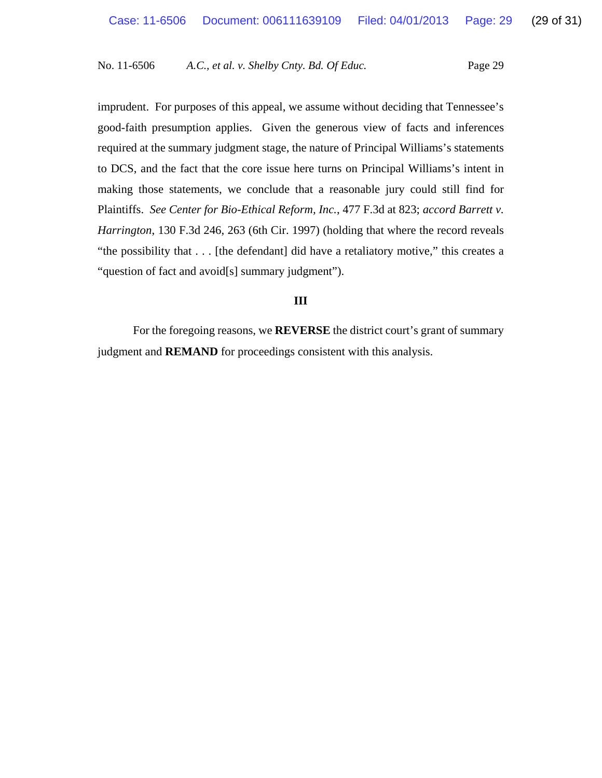imprudent. For purposes of this appeal, we assume without deciding that Tennessee's good-faith presumption applies. Given the generous view of facts and inferences required at the summary judgment stage, the nature of Principal Williams's statements to DCS, and the fact that the core issue here turns on Principal Williams's intent in making those statements, we conclude that a reasonable jury could still find for Plaintiffs. *See Center for Bio-Ethical Reform, Inc.*, 477 F.3d at 823; *accord Barrett v. Harrington*, 130 F.3d 246, 263 (6th Cir. 1997) (holding that where the record reveals "the possibility that . . . [the defendant] did have a retaliatory motive," this creates a "question of fact and avoid[s] summary judgment").

### **III**

For the foregoing reasons, we **REVERSE** the district court's grant of summary judgment and **REMAND** for proceedings consistent with this analysis.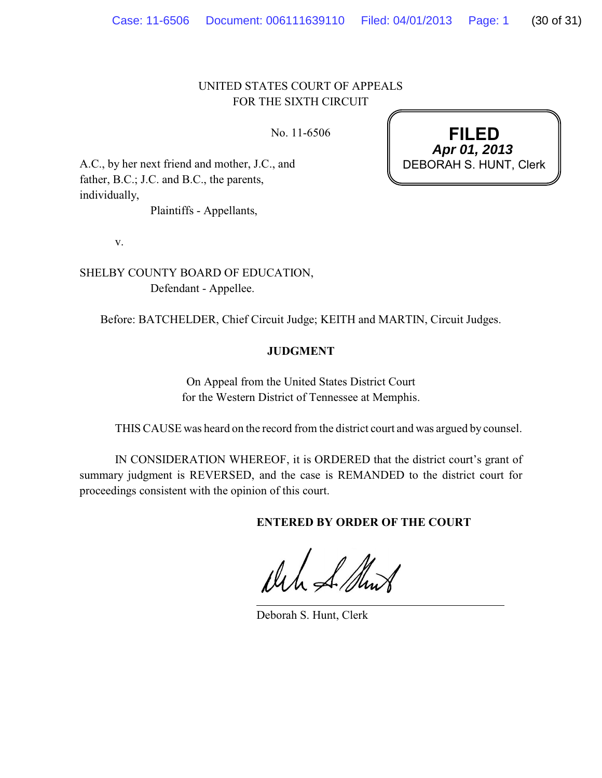# UNITED STATES COURT OF APPEALS FOR THE SIXTH CIRCUIT

No. 11-6506

A.C., by her next friend and mother, J.C., and father, B.C.; J.C. and B.C., the parents, individually,

Plaintiffs - Appellants,

v.

SHELBY COUNTY BOARD OF EDUCATION, Defendant - Appellee.

Before: BATCHELDER, Chief Circuit Judge; KEITH and MARTIN, Circuit Judges.

# **JUDGMENT**

On Appeal from the United States District Court for the Western District of Tennessee at Memphis.

THIS CAUSE was heard on the record from the district court and was argued by counsel.

IN CONSIDERATION WHEREOF, it is ORDERED that the district court's grant of summary judgment is REVERSED, and the case is REMANDED to the district court for proceedings consistent with the opinion of this court.

**ENTERED BY ORDER OF THE COURT**

the filled

Deborah S. Hunt, Clerk